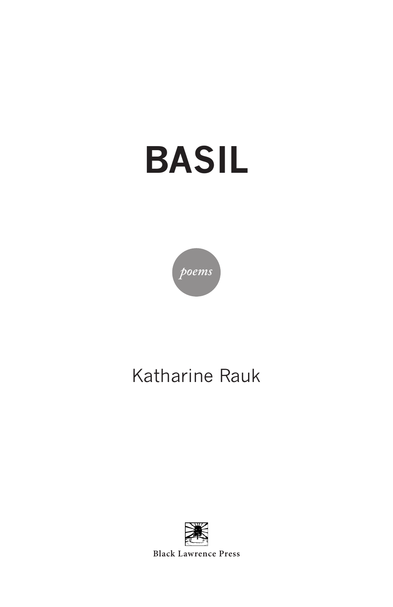# **BASIL**



# Katharine Rauk



**Black Lawrence Press**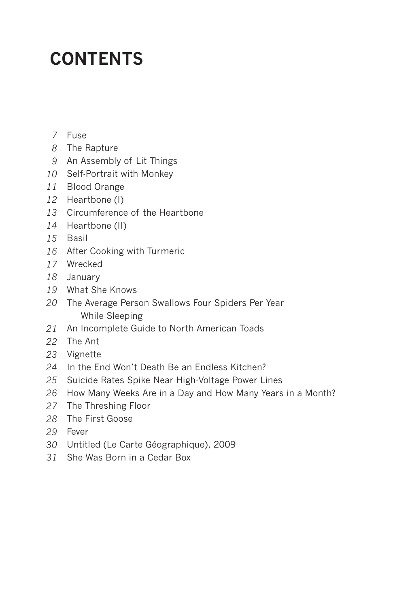# **CONTENTS**

- Fuse *7*
- The Rapture *8*
- An Assembly of Lit Things *9*
- 10 Self-Portrait with Monkey
- Blood Orange *11*
- 12 Heartbone (I)
- Circumference of the Heartbone *13*
- 14 Heartbone (II)
- 15 Basil
- 16 After Cooking with Turmeric
- Wrecked *17*
- January *18*
- What She Knows *19*
- The Average Person Swallows Four Spiders Per Year *20* While Sleeping
- An Incomplete Guide to North American Toads *21*
- The Ant *22*
- Vignette *23*
- 24 In the End Won't Death Be an Endless Kitchen?
- 25 Suicide Rates Spike Near High-Voltage Power Lines
- 26 How Many Weeks Are in a Day and How Many Years in a Month?
- 27 The Threshing Floor
- The First Goose *28*
- Fever *29*
- Untitled (Le Carte Géographique), 2009 *30*
- 31 She Was Born in a Cedar Box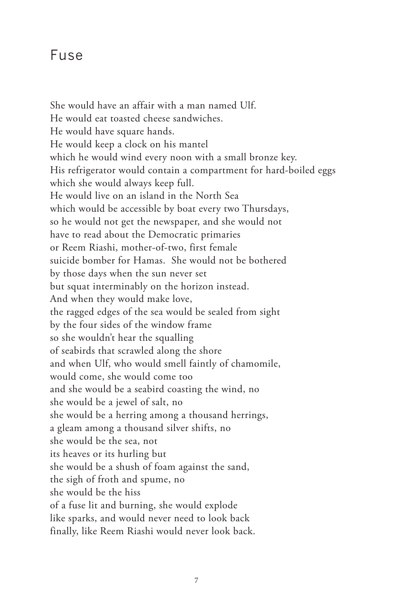#### Fuse

She would have an affair with a man named Ulf. He would eat toasted cheese sandwiches. He would have square hands. He would keep a clock on his mantel which he would wind every noon with a small bronze key. His refrigerator would contain a compartment for hard-boiled eggs which she would always keep full. He would live on an island in the North Sea which would be accessible by boat every two Thursdays, so he would not get the newspaper, and she would not have to read about the Democratic primaries or Reem Riashi, mother-of-two, first female suicide bomber for Hamas. She would not be bothered by those days when the sun never set but squat interminably on the horizon instead. And when they would make love, the ragged edges of the sea would be sealed from sight by the four sides of the window frame so she wouldn't hear the squalling of seabirds that scrawled along the shore and when Ulf, who would smell faintly of chamomile, would come, she would come too and she would be a seabird coasting the wind, no she would be a jewel of salt, no she would be a herring among a thousand herrings, a gleam among a thousand silver shifts, no she would be the sea, not its heaves or its hurling but she would be a shush of foam against the sand, the sigh of froth and spume, no she would be the hiss of a fuse lit and burning, she would explode like sparks, and would never need to look back finally, like Reem Riashi would never look back.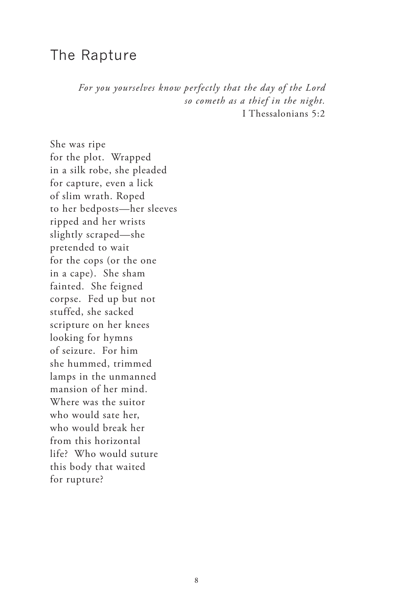#### The Rapture

*For you yourselves know perfectly that the day of the Lord so cometh as a thief in the night.* I Thessalonians 5:2

She was ripe for the plot. Wrapped in a silk robe, she pleaded for capture, even a lick of slim wrath. Roped to her bedposts—her sleeves ripped and her wrists slightly scraped—she pretended to wait for the cops (or the one in a cape). She sham fainted. She feigned corpse. Fed up but not stuffed, she sacked scripture on her knees looking for hymns of seizure. For him she hummed, trimmed lamps in the unmanned mansion of her mind. Where was the suitor who would sate her, who would break her from this horizontal life? Who would suture this body that waited for rupture?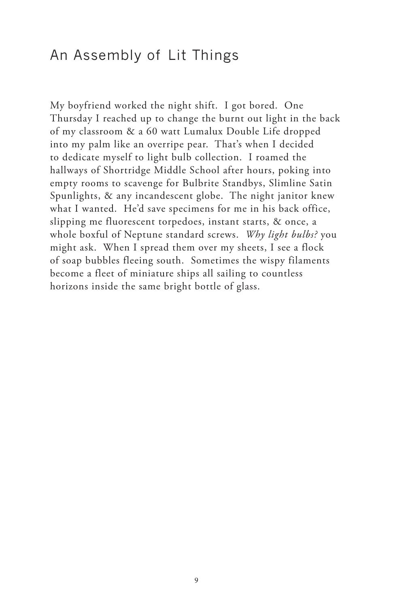## An Assembly of Lit Things

My boyfriend worked the night shift. I got bored. One Thursday I reached up to change the burnt out light in the back of my classroom & a 60 watt Lumalux Double Life dropped into my palm like an overripe pear. That's when I decided to dedicate myself to light bulb collection. I roamed the hallways of Shortridge Middle School after hours, poking into empty rooms to scavenge for Bulbrite Standbys, Slimline Satin Spunlights, & any incandescent globe. The night janitor knew what I wanted. He'd save specimens for me in his back office, slipping me fluorescent torpedoes, instant starts, & once, a whole boxful of Neptune standard screws. *Why light bulbs?* you might ask. When I spread them over my sheets, I see a flock of soap bubbles fleeing south. Sometimes the wispy filaments become a fleet of miniature ships all sailing to countless horizons inside the same bright bottle of glass.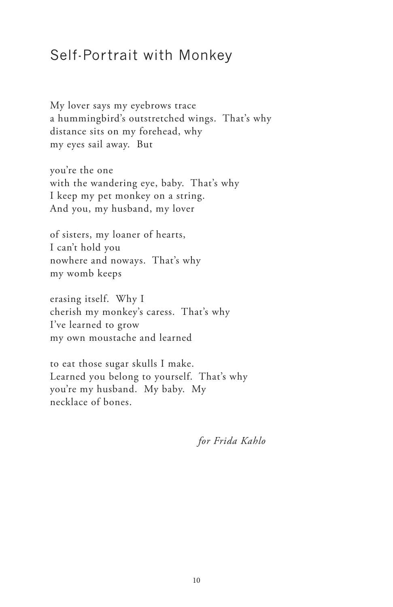## Self-Portrait with Monkey

My lover says my eyebrows trace a hummingbird's outstretched wings. That's why distance sits on my forehead, why my eyes sail away. But

you're the one with the wandering eye, baby. That's why I keep my pet monkey on a string. And you, my husband, my lover

of sisters, my loaner of hearts, I can't hold you nowhere and noways. That's why my womb keeps

erasing itself. Why I cherish my monkey's caress. That's why I've learned to grow my own moustache and learned

to eat those sugar skulls I make. Learned you belong to yourself. That's why you're my husband. My baby. My necklace of bones.

*for Frida Kahlo*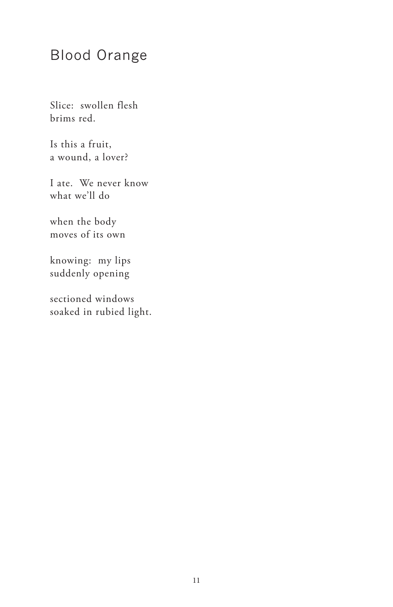# Blood Orange

Slice: swollen flesh brims red.

Is this a fruit, a wound, a lover?

I ate. We never know what we'll do

when the body moves of its own

knowing: my lips suddenly opening

sectioned windows soaked in rubied light.